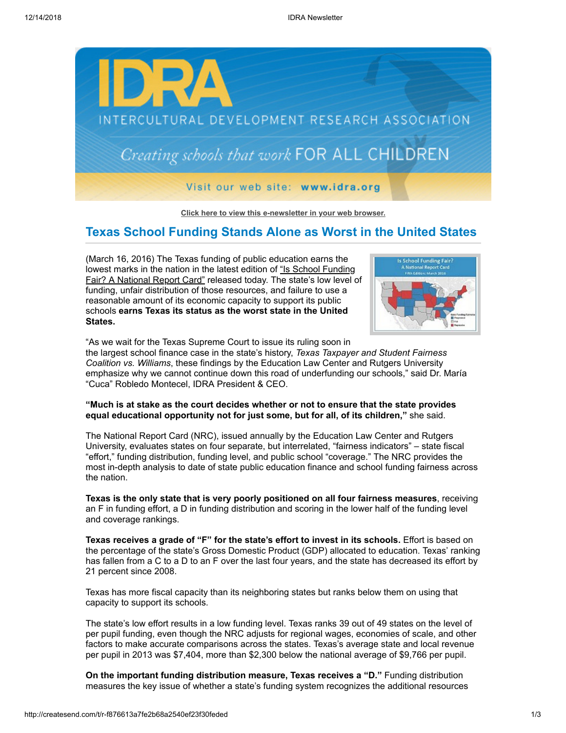

**[Click here to view this e-newsletter in your web browser.](http://newsletter.impulsedevelopment.com/t/r-e-ejrtruy-l-r/)**

# **Texas School Funding Stands Alone as Worst in the United States**

(March 16, 2016) The Texas funding of public education earns the [lowest marks in the nation in the latest edition of "Is School Funding](http://idra.createsend1.com/t/r-l-ejrtruy-l-i/) Fair? A National Report Card" released today. The state's low level of funding, unfair distribution of those resources, and failure to use a reasonable amount of its economic capacity to support its public schools **earns Texas its status as the worst state in the United States.**



"As we wait for the Texas Supreme Court to issue its ruling soon in

the largest school finance case in the state's history, *Texas Taxpayer and Student Fairness Coalition vs. Williams*, these findings by the Education Law Center and Rutgers University emphasize why we cannot continue down this road of underfunding our schools," said Dr. María "Cuca" Robledo Montecel, IDRA President & CEO.

## **"Much is at stake as the court decides whether or not to ensure that the state provides equal educational opportunity not for just some, but for all, of its children,"** she said.

The National Report Card (NRC), issued annually by the Education Law Center and Rutgers University, evaluates states on four separate, but interrelated, "fairness indicators" – state fiscal "effort," funding distribution, funding level, and public school "coverage." The NRC provides the most in-depth analysis to date of state public education finance and school funding fairness across the nation.

**Texas is the only state that is very poorly positioned on all four fairness measures**, receiving an F in funding effort, a D in funding distribution and scoring in the lower half of the funding level and coverage rankings.

**Texas receives a grade of "F" for the state's effort to invest in its schools.** Effort is based on the percentage of the state's Gross Domestic Product (GDP) allocated to education. Texas' ranking has fallen from a C to a D to an F over the last four years, and the state has decreased its effort by 21 percent since 2008.

Texas has more fiscal capacity than its neighboring states but ranks below them on using that capacity to support its schools.

The state's low effort results in a low funding level. Texas ranks 39 out of 49 states on the level of per pupil funding, even though the NRC adjusts for regional wages, economies of scale, and other factors to make accurate comparisons across the states. Texas's average state and local revenue per pupil in 2013 was \$7,404, more than \$2,300 below the national average of \$9,766 per pupil.

**On the important funding distribution measure, Texas receives a "D."** Funding distribution measures the key issue of whether a state's funding system recognizes the additional resources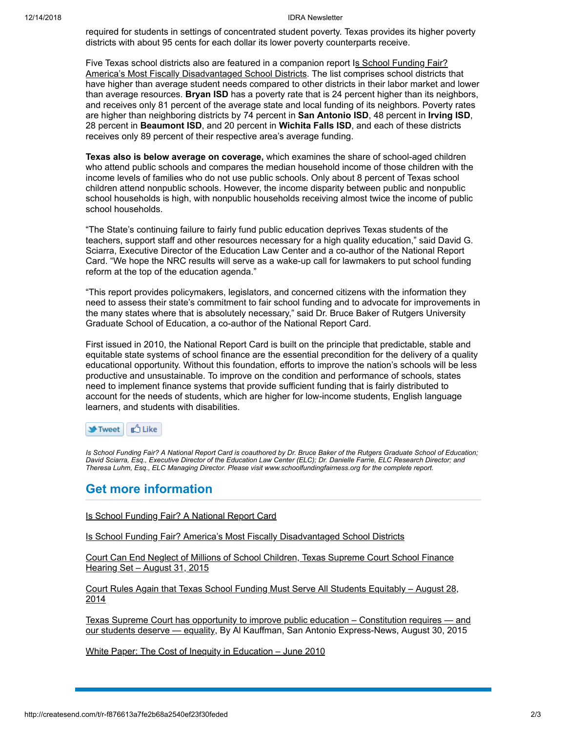#### 12/14/2018 IDRA Newsletter

required for students in settings of concentrated student poverty. Texas provides its higher poverty districts with about 95 cents for each dollar its lower poverty counterparts receive.

[Five Texas school districts also are featured in a companion report Is School Funding Fair?](http://idra.createsend1.com/t/r-l-ejrtruy-l-d/) America's Most Fiscally Disadvantaged School Districts. The list comprises school districts that have higher than average student needs compared to other districts in their labor market and lower than average resources. **Bryan ISD** has a poverty rate that is 24 percent higher than its neighbors, and receives only 81 percent of the average state and local funding of its neighbors. Poverty rates are higher than neighboring districts by 74 percent in **San Antonio ISD**, 48 percent in **Irving ISD**, 28 percent in **Beaumont ISD**, and 20 percent in **Wichita Falls ISD**, and each of these districts receives only 89 percent of their respective area's average funding.

**Texas also is below average on coverage,** which examines the share of school-aged children who attend public schools and compares the median household income of those children with the income levels of families who do not use public schools. Only about 8 percent of Texas school children attend nonpublic schools. However, the income disparity between public and nonpublic school households is high, with nonpublic households receiving almost twice the income of public school households.

"The State's continuing failure to fairly fund public education deprives Texas students of the teachers, support staff and other resources necessary for a high quality education," said David G. Sciarra, Executive Director of the Education Law Center and a co-author of the National Report Card. "We hope the NRC results will serve as a wake-up call for lawmakers to put school funding reform at the top of the education agenda."

"This report provides policymakers, legislators, and concerned citizens with the information they need to assess their state's commitment to fair school funding and to advocate for improvements in the many states where that is absolutely necessary," said Dr. Bruce Baker of Rutgers University Graduate School of Education, a co-author of the National Report Card.

First issued in 2010, the National Report Card is built on the principle that predictable, stable and equitable state systems of school finance are the essential precondition for the delivery of a quality educational opportunity. Without this foundation, efforts to improve the nation's schools will be less productive and unsustainable. To improve on the condition and performance of schools, states need to implement finance systems that provide sufficient funding that is fairly distributed to account for the needs of students, which are higher for low-income students, English language learners, and students with disabilities.

**凸 Like Y**Tweet

*Is School Funding Fair? A National Report Card is coauthored by Dr. Bruce Baker of the Rutgers Graduate School of Education; David Sciarra, Esq., Executive Director of the Education Law Center (ELC); Dr. Danielle Farrie, ELC Research Director; and Theresa Luhm, Esq., ELC Managing Director. Please visit www.schoolfundingfairness.org for the complete report.*

## **Get more information**

### [Is School Funding Fair? A National Report Card](http://idra.createsend1.com/t/r-l-ejrtruy-l-h/)

[Is School Funding Fair? America's Most Fiscally Disadvantaged School Districts](http://idra.createsend1.com/t/r-l-ejrtruy-l-b/)

[Court Can End Neglect of Millions of School Children, Texas Supreme Court School Finance](http://idra.createsend1.com/t/r-l-ejrtruy-l-n/) Hearing Set – August 31, 2015

[Court Rules Again that Texas School Funding Must Serve All Students Equitably – August 28,](http://idra.createsend1.com/t/r-l-ejrtruy-l-p/) 2014

[Texas Supreme Court has opportunity to improve public education – Constitution requires — and](http://idra.createsend1.com/t/r-l-ejrtruy-l-x/) our students deserve - equality, By Al Kauffman, San Antonio Express-News, August 30, 2015

[White Paper: The Cost of Inequity in Education – June 2010](http://idra.createsend1.com/t/r-l-ejrtruy-l-m/)